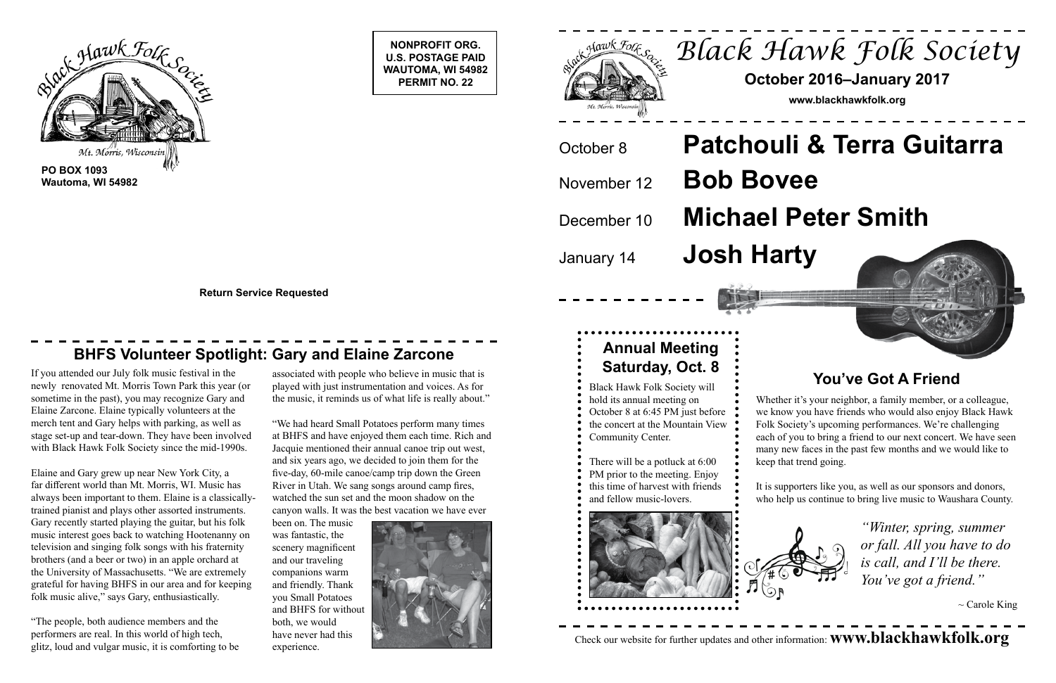**NONPROFIT ORG. U.S. POSTAGE PAID WAUTOMA, WI 54982 PERMIT NO. 22**





**Wautoma, WI 54982**

**Return Service Requested**

### **BHFS Volunteer Spotlight: Gary and Elaine Zarcone Annual Meeting Annual Meeting**



November 12 **Bob Bovee** January 14 **Josh Harty**

### **You've Got A Friend**

Whether it's your neighbor, a family member, or a colleague, we know you have friends who would also enjoy Black Hawk Folk Society's upcoming performances. We're challenging each of you to bring a friend to our next concert. We have seen many new faces in the past few months and we would like to keep that trend going.

It is supporters like you, as well as our sponsors and donors, who help us continue to bring live music to Waushara County.



*"Winter, spring, summer or fall. All you have to do is call, and I'll be there. You've got a friend."*

 $\sim$  Carole King

## have never had this experience. Check our website for further updates and other information: **www.blackhawkfolk.org**

If you attended our July folk music festival in the newly renovated Mt. Morris Town Park this year (or sometime in the past), you may recognize Gary and Elaine Zarcone. Elaine typically volunteers at the merch tent and Gary helps with parking, as well as stage set-up and tear-down. They have been involved with Black Hawk Folk Society since the mid-1990s.

Elaine and Gary grew up near New York City, a far different world than Mt. Morris, WI. Music has always been important to them. Elaine is a classicallytrained pianist and plays other assorted instruments. Gary recently started playing the guitar, but his folk music interest goes back to watching Hootenanny on television and singing folk songs with his fraternity brothers (and a beer or two) in an apple orchard at the University of Massachusetts. "We are extremely grateful for having BHFS in our area and for keeping folk music alive," says Gary, enthusiastically.

"The people, both audience members and the performers are real. In this world of high tech, glitz, loud and vulgar music, it is comforting to be

# **Saturday, Oct. 8**

- Black Hawk Folk Society will hold its annual meeting on
- October 8 at 6:45 PM just before
- the concert at the Mountain View
- Community Center.
- There will be a potluck at 6:00
- PM prior to the meeting. Enjoy
- this time of harvest with friends
- and fellow music-lovers.



associated with people who believe in music that is played with just instrumentation and voices. As for the music, it reminds us of what life is really about."

"We had heard Small Potatoes perform many times at BHFS and have enjoyed them each time. Rich and Jacquie mentioned their annual canoe trip out west, and six years ago, we decided to join them for the five-day, 60-mile canoe/camp trip down the Green River in Utah. We sang songs around camp fires, watched the sun set and the moon shadow on the canyon walls. It was the best vacation we have ever

been on. The music was fantastic, the scenery magnificent and our traveling companions warm and friendly. Thank you Small Potatoes and BHFS for without both, we would have never had this